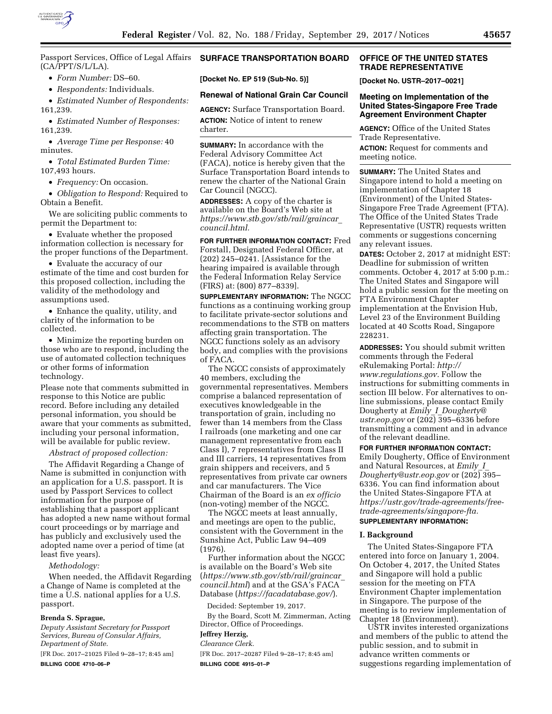

Passport Services, Office of Legal Affairs (CA/PPT/S/L/LA).

• *Form Number:* DS–60.

• *Respondents:* Individuals.

• *Estimated Number of Respondents:*  161,239.

• *Estimated Number of Responses:*  161,239.

• *Average Time per Response:* 40 minutes.

• *Total Estimated Burden Time:*  107,493 hours.

• *Frequency:* On occasion.

• *Obligation to Respond:* Required to Obtain a Benefit.

We are soliciting public comments to permit the Department to:

• Evaluate whether the proposed information collection is necessary for the proper functions of the Department.

• Evaluate the accuracy of our estimate of the time and cost burden for this proposed collection, including the validity of the methodology and assumptions used.

• Enhance the quality, utility, and clarity of the information to be collected.

• Minimize the reporting burden on those who are to respond, including the use of automated collection techniques or other forms of information technology.

Please note that comments submitted in response to this Notice are public record. Before including any detailed personal information, you should be aware that your comments as submitted, including your personal information, will be available for public review.

## *Abstract of proposed collection:*

The Affidavit Regarding a Change of Name is submitted in conjunction with an application for a U.S. passport. It is used by Passport Services to collect information for the purpose of establishing that a passport applicant has adopted a new name without formal court proceedings or by marriage and has publicly and exclusively used the adopted name over a period of time (at least five years).

*Methodology:* 

When needed, the Affidavit Regarding a Change of Name is completed at the time a U.S. national applies for a U.S. passport.

#### **Brenda S. Sprague,**

*Deputy Assistant Secretary for Passport Services, Bureau of Consular Affairs, Department of State.* 

[FR Doc. 2017–21025 Filed 9–28–17; 8:45 am] **BILLING CODE 4710–06–P** 

## **SURFACE TRANSPORTATION BOARD**

**[Docket No. EP 519 (Sub-No. 5)]** 

### **Renewal of National Grain Car Council**

**AGENCY:** Surface Transportation Board. **ACTION:** Notice of intent to renew charter.

**SUMMARY:** In accordance with the Federal Advisory Committee Act (FACA), notice is hereby given that the Surface Transportation Board intends to renew the charter of the National Grain Car Council (NGCC).

**ADDRESSES:** A copy of the charter is available on the Board's Web site at *[https://www.stb.gov/stb/rail/graincar](https://www.stb.gov/stb/rail/graincar_council.html)*\_ *[council.html.](https://www.stb.gov/stb/rail/graincar_council.html)* 

**FOR FURTHER INFORMATION CONTACT:** Fred Forstall, Designated Federal Officer, at (202) 245–0241. [Assistance for the hearing impaired is available through the Federal Information Relay Service (FIRS) at: (800) 877–8339].

**SUPPLEMENTARY INFORMATION:** The NGCC functions as a continuing working group to facilitate private-sector solutions and recommendations to the STB on matters affecting grain transportation. The NGCC functions solely as an advisory body, and complies with the provisions of FACA.

The NGCC consists of approximately 40 members, excluding the governmental representatives. Members comprise a balanced representation of executives knowledgeable in the transportation of grain, including no fewer than 14 members from the Class I railroads (one marketing and one car management representative from each Class I), 7 representatives from Class II and III carriers, 14 representatives from grain shippers and receivers, and 5 representatives from private car owners and car manufacturers. The Vice Chairman of the Board is an *ex officio*  (non-voting) member of the NGCC.

The NGCC meets at least annually, and meetings are open to the public, consistent with the Government in the Sunshine Act, Public Law 94–409 (1976).

Further information about the NGCC is available on the Board's Web site (*[https://www.stb.gov/stb/rail/graincar](https://www.stb.gov/stb/rail/graincar_council.html)*\_ *[council.html](https://www.stb.gov/stb/rail/graincar_council.html)*) and at the GSA's FACA Database (*<https://facadatabase.gov/>*).

Decided: September 19, 2017.

By the Board, Scott M. Zimmerman, Acting Director, Office of Proceedings.

# **Jeffrey Herzig,**

*Clearance Clerk.* 

[FR Doc. 2017–20287 Filed 9–28–17; 8:45 am] **BILLING CODE 4915–01–P** 

### **OFFICE OF THE UNITED STATES TRADE REPRESENTATIVE**

**[Docket No. USTR–2017–0021]** 

### **Meeting on Implementation of the United States-Singapore Free Trade Agreement Environment Chapter**

**AGENCY:** Office of the United States Trade Representative. **ACTION:** Request for comments and meeting notice.

**SUMMARY:** The United States and Singapore intend to hold a meeting on implementation of Chapter 18 (Environment) of the United States-Singapore Free Trade Agreement (FTA). The Office of the United States Trade Representative (USTR) requests written comments or suggestions concerning any relevant issues.

**DATES:** October 2, 2017 at midnight EST: Deadline for submission of written comments. October 4, 2017 at 5:00 p.m.: The United States and Singapore will hold a public session for the meeting on FTA Environment Chapter implementation at the Envision Hub, Level 23 of the Environment Building located at 40 Scotts Road, Singapore 228231.

**ADDRESSES:** You should submit written comments through the Federal eRulemaking Portal: *[http://](http://www.regulations.gov) [www.regulations.gov.](http://www.regulations.gov)* Follow the instructions for submitting comments in section III below. For alternatives to online submissions, please contact Emily Dougherty at *Emily*\_*I*\_*[Dougherty@](mailto:Emily_I_Dougherty@ustr.eop.gov) [ustr.eop.gov](mailto:Emily_I_Dougherty@ustr.eop.gov)* or (202) 395–6336 before transmitting a comment and in advance of the relevant deadline.

#### **FOR FURTHER INFORMATION CONTACT:**

Emily Dougherty, Office of Environment and Natural Resources, at *[Emily](mailto:Emily_I_Dougherty@ustr.eop.gov)*\_*I*\_ *[Dougherty@ustr.eop.gov](mailto:Emily_I_Dougherty@ustr.eop.gov)* or (202) 395– 6336. You can find information about the United States-Singapore FTA at *[https://ustr.gov/trade-agreements/free](https://ustr.gov/trade-agreements/free-trade-agreements/singapore-fta)[trade-agreements/singapore-fta.](https://ustr.gov/trade-agreements/free-trade-agreements/singapore-fta)*  **SUPPLEMENTARY INFORMATION:** 

#### **I. Background**

The United States-Singapore FTA entered into force on January 1, 2004. On October 4, 2017, the United States and Singapore will hold a public session for the meeting on FTA Environment Chapter implementation in Singapore. The purpose of the meeting is to review implementation of Chapter 18 (Environment).

USTR invites interested organizations and members of the public to attend the public session, and to submit in advance written comments or suggestions regarding implementation of